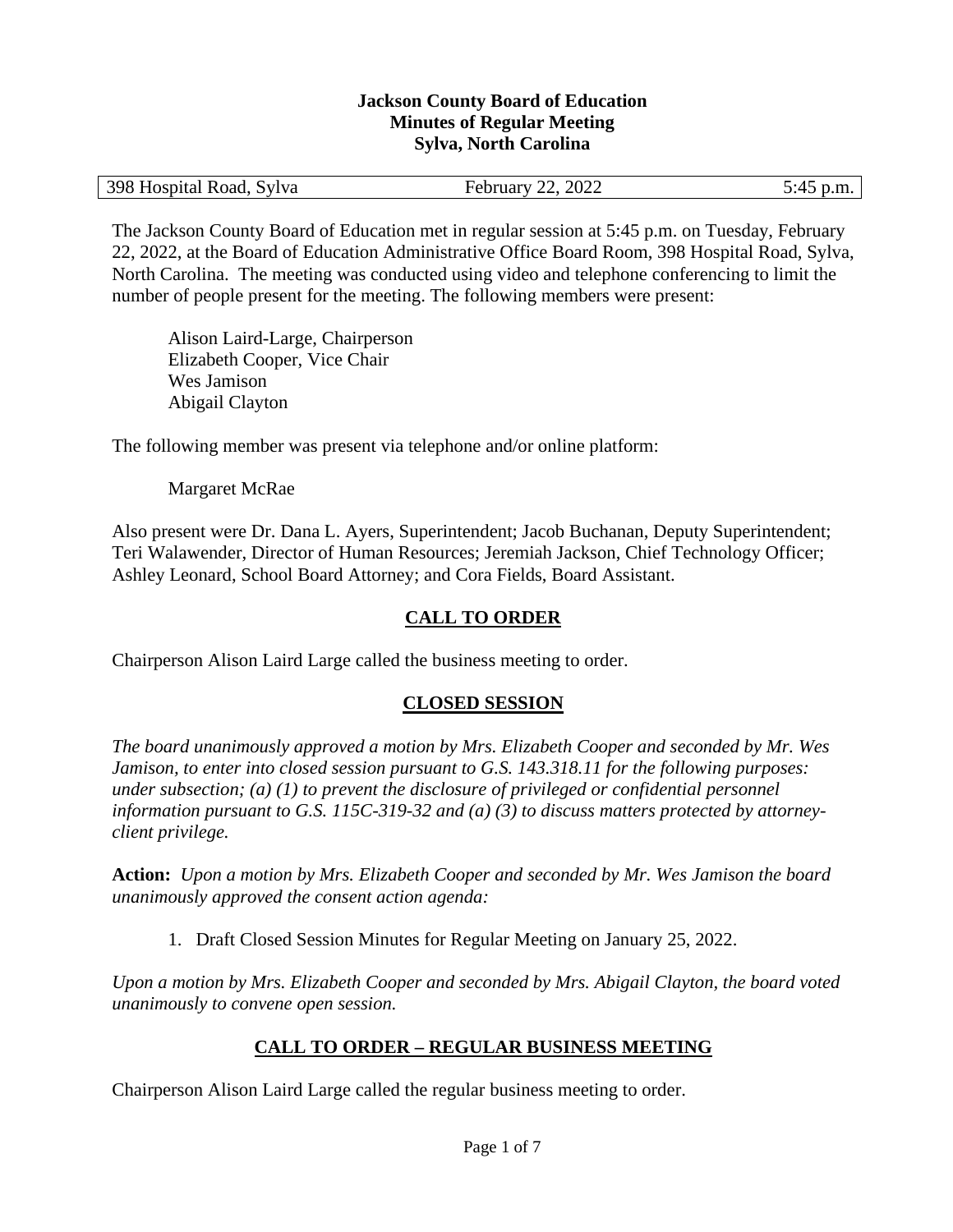#### **Jackson County Board of Education Minutes of Regular Meeting Sylva, North Carolina**

| 398 Hospital Road, Sylva | 2022<br>רר<br>Februarv<br>LΔ<br>_______ |  |
|--------------------------|-----------------------------------------|--|
|--------------------------|-----------------------------------------|--|

The Jackson County Board of Education met in regular session at 5:45 p.m. on Tuesday, February 22, 2022, at the Board of Education Administrative Office Board Room, 398 Hospital Road, Sylva, North Carolina. The meeting was conducted using video and telephone conferencing to limit the number of people present for the meeting. The following members were present:

Alison Laird-Large, Chairperson Elizabeth Cooper, Vice Chair Wes Jamison Abigail Clayton

The following member was present via telephone and/or online platform:

#### Margaret McRae

Also present were Dr. Dana L. Ayers, Superintendent; Jacob Buchanan, Deputy Superintendent; Teri Walawender, Director of Human Resources; Jeremiah Jackson, Chief Technology Officer; Ashley Leonard, School Board Attorney; and Cora Fields, Board Assistant.

#### **CALL TO ORDER**

Chairperson Alison Laird Large called the business meeting to order.

#### **CLOSED SESSION**

*The board unanimously approved a motion by Mrs. Elizabeth Cooper and seconded by Mr. Wes Jamison, to enter into closed session pursuant to G.S. 143.318.11 for the following purposes: under subsection; (a) (1) to prevent the disclosure of privileged or confidential personnel information pursuant to G.S. 115C-319-32 and (a) (3) to discuss matters protected by attorneyclient privilege.* 

**Action:** *Upon a motion by Mrs. Elizabeth Cooper and seconded by Mr. Wes Jamison the board unanimously approved the consent action agenda:*

1. Draft Closed Session Minutes for Regular Meeting on January 25, 2022.

*Upon a motion by Mrs. Elizabeth Cooper and seconded by Mrs. Abigail Clayton, the board voted unanimously to convene open session.*

# **CALL TO ORDER – REGULAR BUSINESS MEETING**

Chairperson Alison Laird Large called the regular business meeting to order.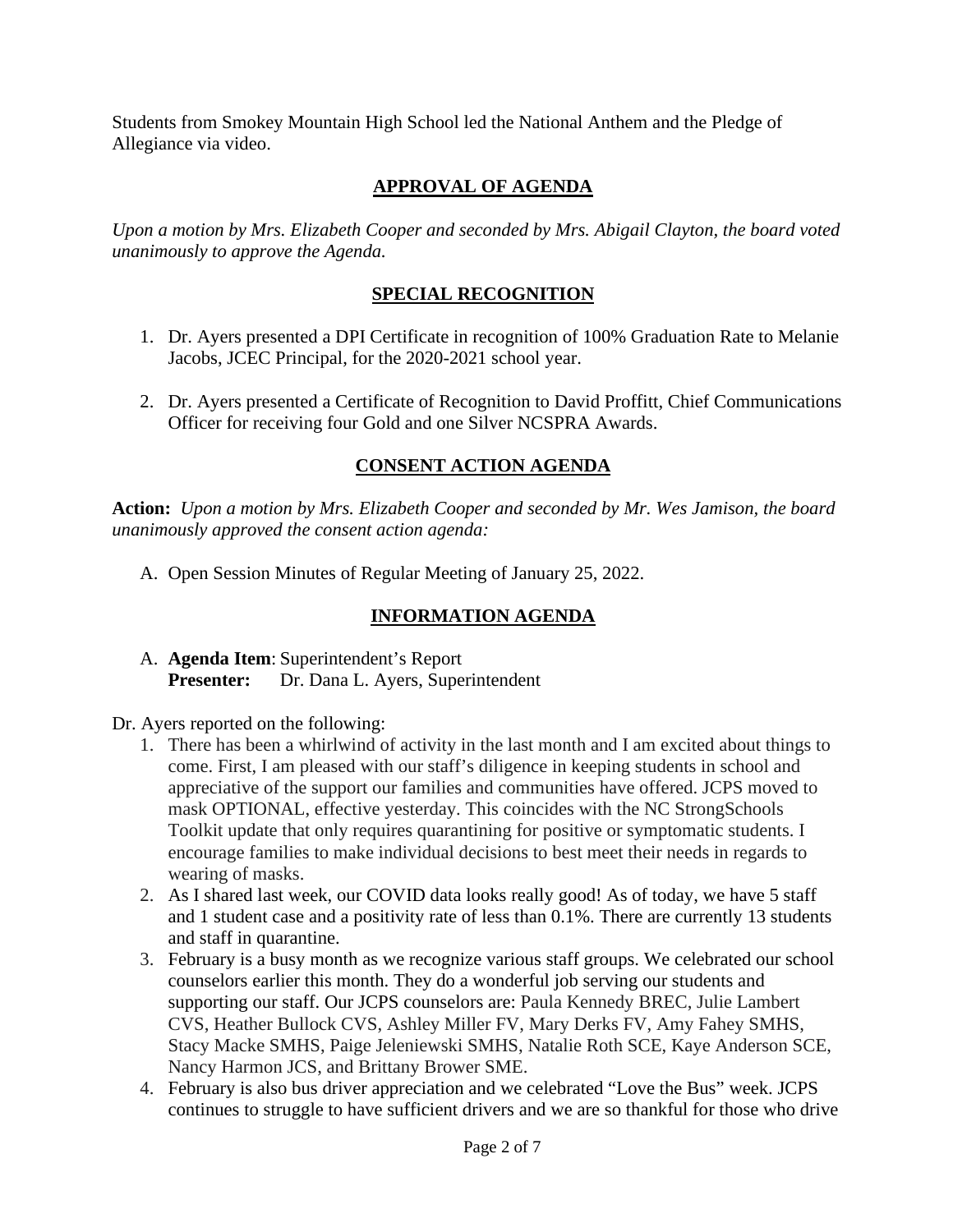Students from Smokey Mountain High School led the National Anthem and the Pledge of Allegiance via video.

# **APPROVAL OF AGENDA**

*Upon a motion by Mrs. Elizabeth Cooper and seconded by Mrs. Abigail Clayton, the board voted unanimously to approve the Agenda.*

# **SPECIAL RECOGNITION**

- 1. Dr. Ayers presented a DPI Certificate in recognition of 100% Graduation Rate to Melanie Jacobs, JCEC Principal, for the 2020-2021 school year.
- 2. Dr. Ayers presented a Certificate of Recognition to David Proffitt, Chief Communications Officer for receiving four Gold and one Silver NCSPRA Awards.

# **CONSENT ACTION AGENDA**

**Action:** *Upon a motion by Mrs. Elizabeth Cooper and seconded by Mr. Wes Jamison, the board unanimously approved the consent action agenda:*

A. Open Session Minutes of Regular Meeting of January 25, 2022.

# **INFORMATION AGENDA**

A. **Agenda Item**: Superintendent's Report **Presenter:** Dr. Dana L. Ayers, Superintendent

Dr. Ayers reported on the following:

- 1. There has been a whirlwind of activity in the last month and I am excited about things to come. First, I am pleased with our staff's diligence in keeping students in school and appreciative of the support our families and communities have offered. JCPS moved to mask OPTIONAL, effective yesterday. This coincides with the NC StrongSchools Toolkit update that only requires quarantining for positive or symptomatic students. I encourage families to make individual decisions to best meet their needs in regards to wearing of masks.
- 2. As I shared last week, our COVID data looks really good! As of today, we have 5 staff and 1 student case and a positivity rate of less than 0.1%. There are currently 13 students and staff in quarantine.
- 3. February is a busy month as we recognize various staff groups. We celebrated our school counselors earlier this month. They do a wonderful job serving our students and supporting our staff. Our JCPS counselors are: Paula Kennedy BREC, Julie Lambert CVS, Heather Bullock CVS, Ashley Miller FV, Mary Derks FV, Amy Fahey SMHS, Stacy Macke SMHS, Paige Jeleniewski SMHS, Natalie Roth SCE, Kaye Anderson SCE, Nancy Harmon JCS, and Brittany Brower SME.
- 4. February is also bus driver appreciation and we celebrated "Love the Bus" week. JCPS continues to struggle to have sufficient drivers and we are so thankful for those who drive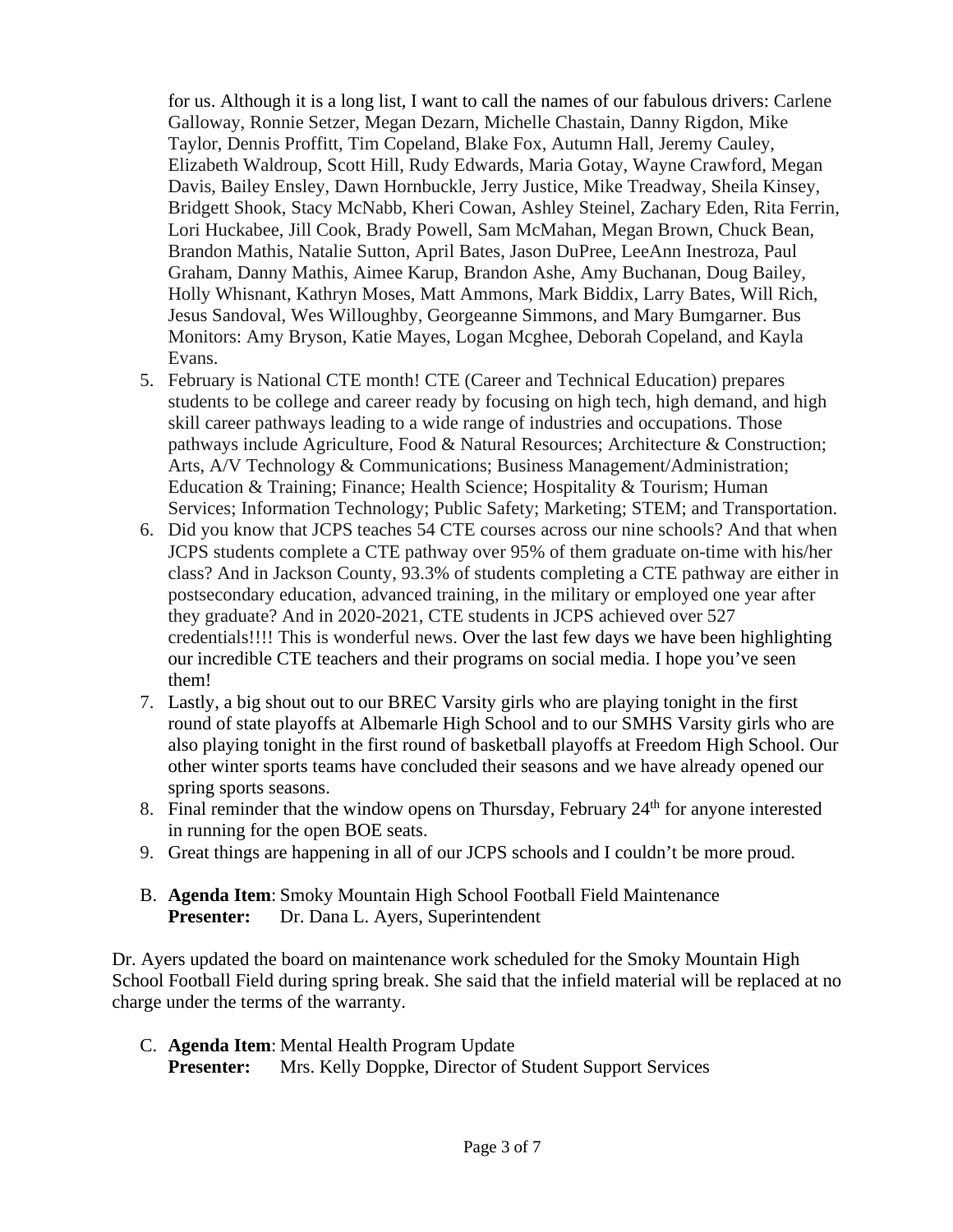for us. Although it is a long list, I want to call the names of our fabulous drivers: Carlene Galloway, Ronnie Setzer, Megan Dezarn, Michelle Chastain, Danny Rigdon, Mike Taylor, Dennis Proffitt, Tim Copeland, Blake Fox, Autumn Hall, Jeremy Cauley, Elizabeth Waldroup, Scott Hill, Rudy Edwards, Maria Gotay, Wayne Crawford, Megan Davis, Bailey Ensley, Dawn Hornbuckle, Jerry Justice, Mike Treadway, Sheila Kinsey, Bridgett Shook, Stacy McNabb, Kheri Cowan, Ashley Steinel, Zachary Eden, Rita Ferrin, Lori Huckabee, Jill Cook, Brady Powell, Sam McMahan, Megan Brown, Chuck Bean, Brandon Mathis, Natalie Sutton, April Bates, Jason DuPree, LeeAnn Inestroza, Paul Graham, Danny Mathis, Aimee Karup, Brandon Ashe, Amy Buchanan, Doug Bailey, Holly Whisnant, Kathryn Moses, Matt Ammons, Mark Biddix, Larry Bates, Will Rich, Jesus Sandoval, Wes Willoughby, Georgeanne Simmons, and Mary Bumgarner. Bus Monitors: Amy Bryson, Katie Mayes, Logan Mcghee, Deborah Copeland, and Kayla Evans.

- 5. February is National CTE month! CTE (Career and Technical Education) prepares students to be college and career ready by focusing on high tech, high demand, and high skill career pathways leading to a wide range of industries and occupations. Those pathways include Agriculture, Food & Natural Resources; Architecture & Construction; Arts, A/V Technology & Communications; Business Management/Administration; Education & Training; Finance; Health Science; Hospitality & Tourism; Human Services; Information Technology; Public Safety; Marketing; STEM; and Transportation.
- 6. Did you know that JCPS teaches 54 CTE courses across our nine schools? And that when JCPS students complete a CTE pathway over 95% of them graduate on-time with his/her class? And in Jackson County, 93.3% of students completing a CTE pathway are either in postsecondary education, advanced training, in the military or employed one year after they graduate? And in 2020-2021, CTE students in JCPS achieved over 527 credentials!!!! This is wonderful news. Over the last few days we have been highlighting our incredible CTE teachers and their programs on social media. I hope you've seen them!
- 7. Lastly, a big shout out to our BREC Varsity girls who are playing tonight in the first round of state playoffs at Albemarle High School and to our SMHS Varsity girls who are also playing tonight in the first round of basketball playoffs at Freedom High School. Our other winter sports teams have concluded their seasons and we have already opened our spring sports seasons.
- 8. Final reminder that the window opens on Thursday, February  $24<sup>th</sup>$  for anyone interested in running for the open BOE seats.
- 9. Great things are happening in all of our JCPS schools and I couldn't be more proud.
- B. **Agenda Item**: Smoky Mountain High School Football Field Maintenance **Presenter:** Dr. Dana L. Ayers, Superintendent

Dr. Ayers updated the board on maintenance work scheduled for the Smoky Mountain High School Football Field during spring break. She said that the infield material will be replaced at no charge under the terms of the warranty.

C. **Agenda Item**: Mental Health Program Update **Presenter:** Mrs. Kelly Doppke, Director of Student Support Services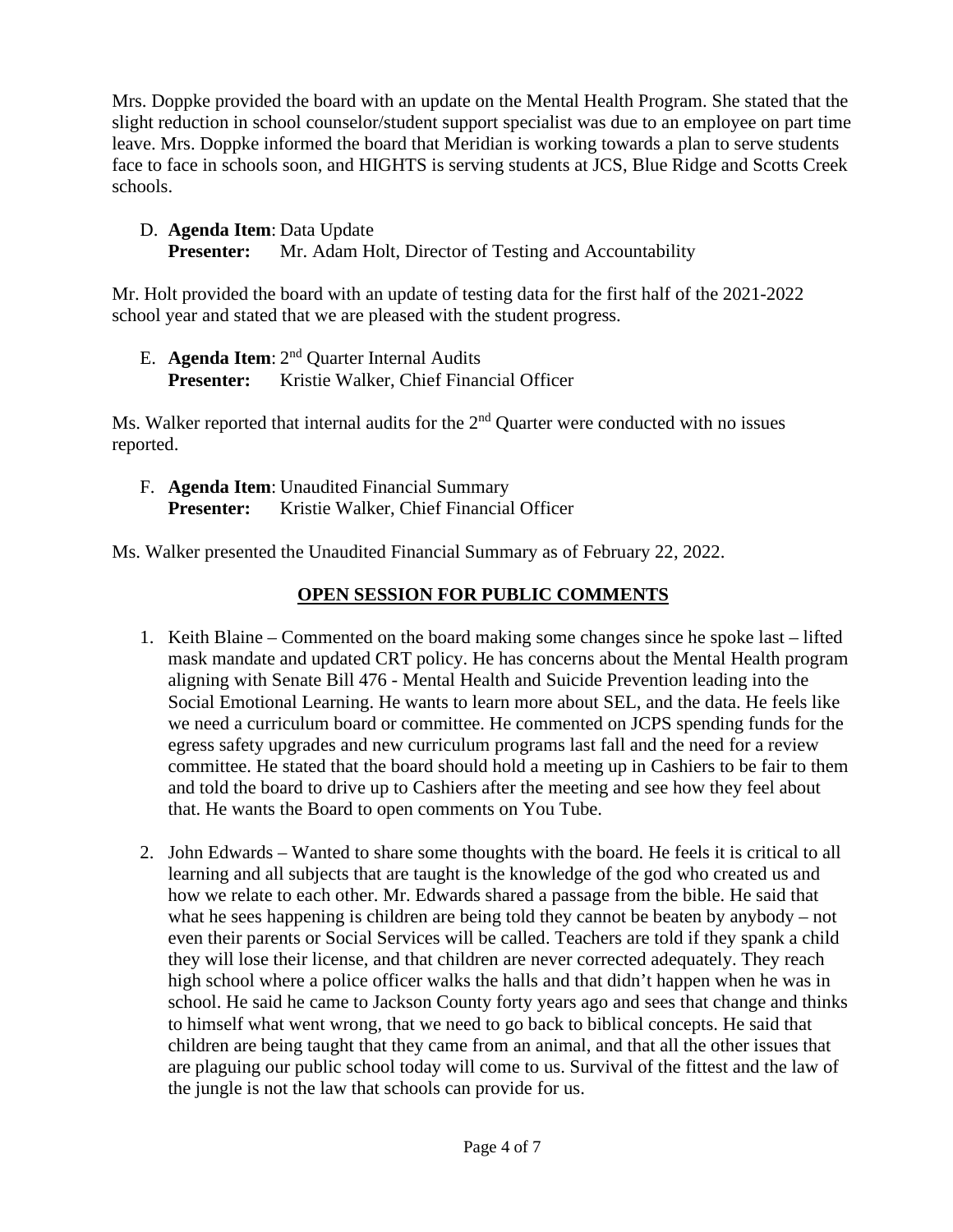Mrs. Doppke provided the board with an update on the Mental Health Program. She stated that the slight reduction in school counselor/student support specialist was due to an employee on part time leave. Mrs. Doppke informed the board that Meridian is working towards a plan to serve students face to face in schools soon, and HIGHTS is serving students at JCS, Blue Ridge and Scotts Creek schools.

### D. **Agenda Item**: Data Update

**Presenter:** Mr. Adam Holt, Director of Testing and Accountability

Mr. Holt provided the board with an update of testing data for the first half of the 2021-2022 school year and stated that we are pleased with the student progress.

E. **Agenda Item**: 2nd Quarter Internal Audits **Presenter:** Kristie Walker, Chief Financial Officer

Ms. Walker reported that internal audits for the  $2<sup>nd</sup>$  Quarter were conducted with no issues reported.

F. **Agenda Item**: Unaudited Financial Summary **Presenter:** Kristie Walker, Chief Financial Officer

Ms. Walker presented the Unaudited Financial Summary as of February 22, 2022.

# **OPEN SESSION FOR PUBLIC COMMENTS**

- 1. Keith Blaine Commented on the board making some changes since he spoke last lifted mask mandate and updated CRT policy. He has concerns about the Mental Health program aligning with Senate Bill 476 - Mental Health and Suicide Prevention leading into the Social Emotional Learning. He wants to learn more about SEL, and the data. He feels like we need a curriculum board or committee. He commented on JCPS spending funds for the egress safety upgrades and new curriculum programs last fall and the need for a review committee. He stated that the board should hold a meeting up in Cashiers to be fair to them and told the board to drive up to Cashiers after the meeting and see how they feel about that. He wants the Board to open comments on You Tube.
- 2. John Edwards Wanted to share some thoughts with the board. He feels it is critical to all learning and all subjects that are taught is the knowledge of the god who created us and how we relate to each other. Mr. Edwards shared a passage from the bible. He said that what he sees happening is children are being told they cannot be beaten by anybody – not even their parents or Social Services will be called. Teachers are told if they spank a child they will lose their license, and that children are never corrected adequately. They reach high school where a police officer walks the halls and that didn't happen when he was in school. He said he came to Jackson County forty years ago and sees that change and thinks to himself what went wrong, that we need to go back to biblical concepts. He said that children are being taught that they came from an animal, and that all the other issues that are plaguing our public school today will come to us. Survival of the fittest and the law of the jungle is not the law that schools can provide for us.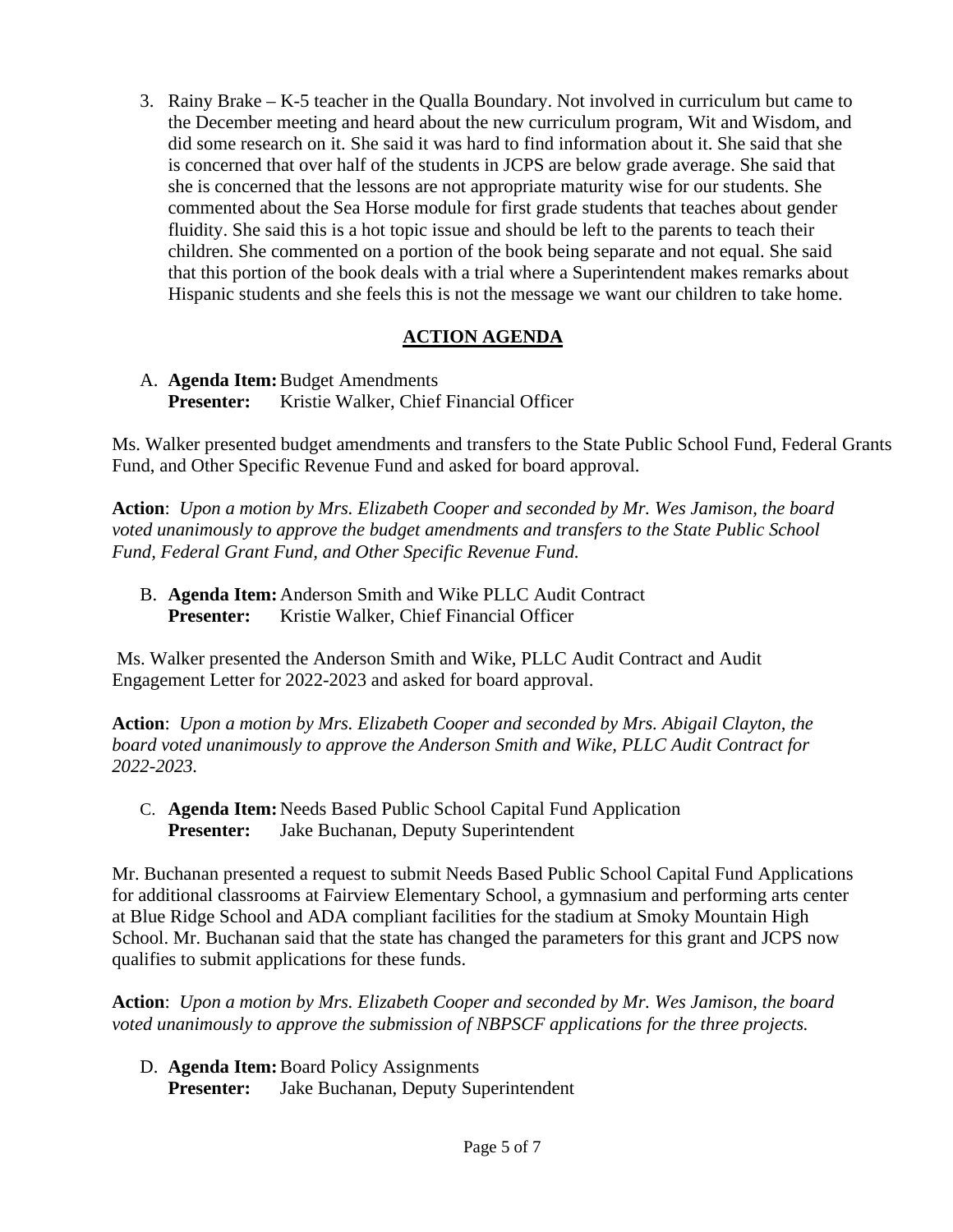3. Rainy Brake – K-5 teacher in the Qualla Boundary. Not involved in curriculum but came to the December meeting and heard about the new curriculum program, Wit and Wisdom, and did some research on it. She said it was hard to find information about it. She said that she is concerned that over half of the students in JCPS are below grade average. She said that she is concerned that the lessons are not appropriate maturity wise for our students. She commented about the Sea Horse module for first grade students that teaches about gender fluidity. She said this is a hot topic issue and should be left to the parents to teach their children. She commented on a portion of the book being separate and not equal. She said that this portion of the book deals with a trial where a Superintendent makes remarks about Hispanic students and she feels this is not the message we want our children to take home.

# **ACTION AGENDA**

A. **Agenda Item:**Budget Amendments **Presenter:** Kristie Walker, Chief Financial Officer

Ms. Walker presented budget amendments and transfers to the State Public School Fund, Federal Grants Fund, and Other Specific Revenue Fund and asked for board approval.

**Action**: *Upon a motion by Mrs. Elizabeth Cooper and seconded by Mr. Wes Jamison, the board voted unanimously to approve the budget amendments and transfers to the State Public School Fund, Federal Grant Fund, and Other Specific Revenue Fund.*

B. **Agenda Item:**Anderson Smith and Wike PLLC Audit Contract **Presenter:** Kristie Walker, Chief Financial Officer

Ms. Walker presented the Anderson Smith and Wike, PLLC Audit Contract and Audit Engagement Letter for 2022-2023 and asked for board approval.

**Action**: *Upon a motion by Mrs. Elizabeth Cooper and seconded by Mrs. Abigail Clayton, the board voted unanimously to approve the Anderson Smith and Wike, PLLC Audit Contract for 2022-2023.*

C. **Agenda Item:**Needs Based Public School Capital Fund Application **Presenter:** Jake Buchanan, Deputy Superintendent

Mr. Buchanan presented a request to submit Needs Based Public School Capital Fund Applications for additional classrooms at Fairview Elementary School, a gymnasium and performing arts center at Blue Ridge School and ADA compliant facilities for the stadium at Smoky Mountain High School. Mr. Buchanan said that the state has changed the parameters for this grant and JCPS now qualifies to submit applications for these funds.

**Action**: *Upon a motion by Mrs. Elizabeth Cooper and seconded by Mr. Wes Jamison, the board voted unanimously to approve the submission of NBPSCF applications for the three projects.*

D. **Agenda Item:**Board Policy Assignments

**Presenter:** Jake Buchanan, Deputy Superintendent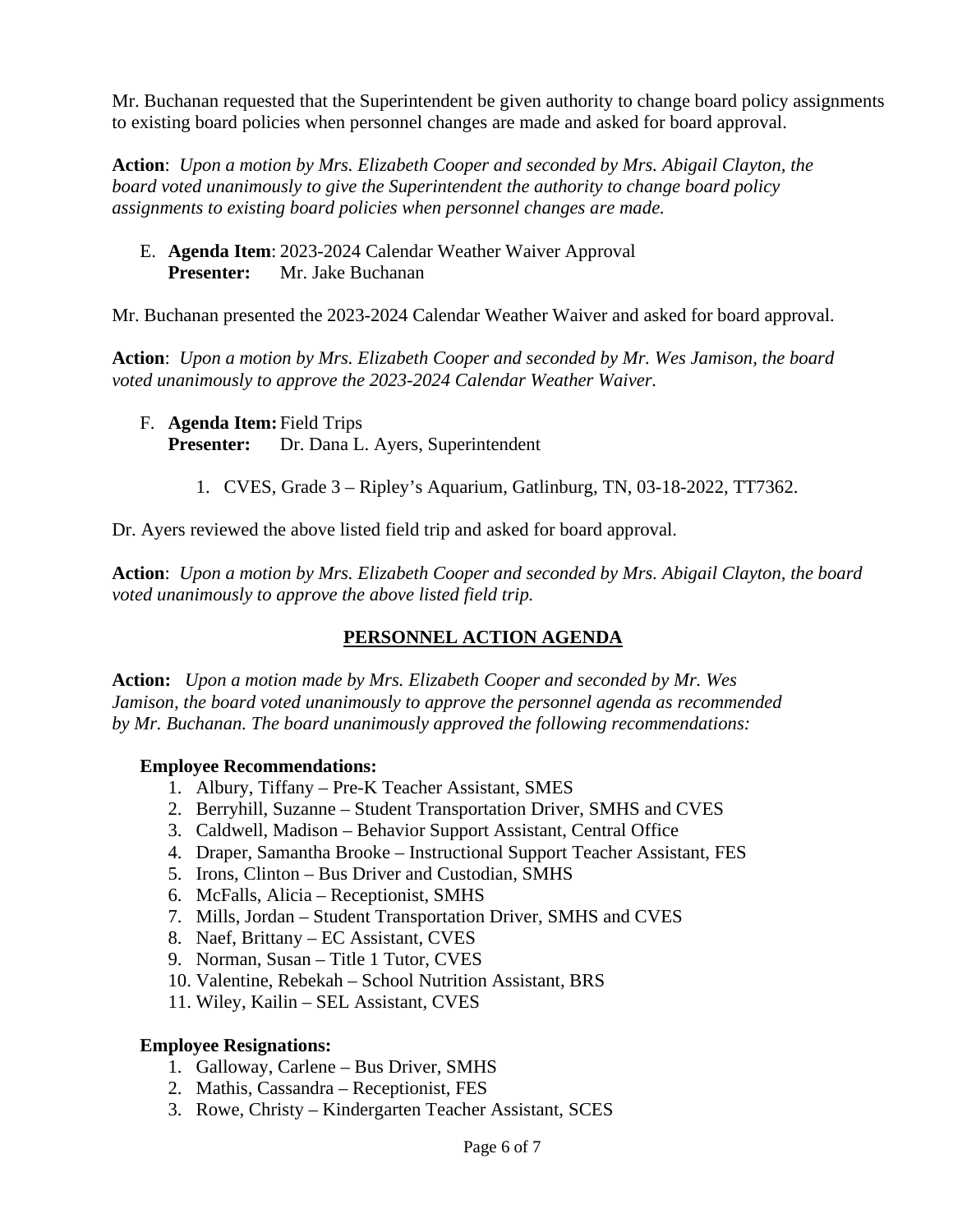Mr. Buchanan requested that the Superintendent be given authority to change board policy assignments to existing board policies when personnel changes are made and asked for board approval.

**Action**: *Upon a motion by Mrs. Elizabeth Cooper and seconded by Mrs. Abigail Clayton, the board voted unanimously to give the Superintendent the authority to change board policy assignments to existing board policies when personnel changes are made.*

E. **Agenda Item**: 2023-2024 Calendar Weather Waiver Approval **Presenter:** Mr. Jake Buchanan

Mr. Buchanan presented the 2023-2024 Calendar Weather Waiver and asked for board approval.

**Action**: *Upon a motion by Mrs. Elizabeth Cooper and seconded by Mr. Wes Jamison, the board voted unanimously to approve the 2023-2024 Calendar Weather Waiver.*

- F. **Agenda Item:**Field Trips **Presenter:** Dr. Dana L. Ayers, Superintendent
	- 1. CVES, Grade 3 Ripley's Aquarium, Gatlinburg, TN, 03-18-2022, TT7362.

Dr. Ayers reviewed the above listed field trip and asked for board approval.

**Action**: *Upon a motion by Mrs. Elizabeth Cooper and seconded by Mrs. Abigail Clayton, the board voted unanimously to approve the above listed field trip.*

#### **PERSONNEL ACTION AGENDA**

**Action:** *Upon a motion made by Mrs. Elizabeth Cooper and seconded by Mr. Wes Jamison, the board voted unanimously to approve the personnel agenda as recommended by Mr. Buchanan. The board unanimously approved the following recommendations:*

#### **Employee Recommendations:**

- 1. Albury, Tiffany Pre-K Teacher Assistant, SMES
- 2. Berryhill, Suzanne Student Transportation Driver, SMHS and CVES
- 3. Caldwell, Madison Behavior Support Assistant, Central Office
- 4. Draper, Samantha Brooke Instructional Support Teacher Assistant, FES
- 5. Irons, Clinton Bus Driver and Custodian, SMHS
- 6. McFalls, Alicia Receptionist, SMHS
- 7. Mills, Jordan Student Transportation Driver, SMHS and CVES
- 8. Naef, Brittany EC Assistant, CVES
- 9. Norman, Susan Title 1 Tutor, CVES
- 10. Valentine, Rebekah School Nutrition Assistant, BRS
- 11. Wiley, Kailin SEL Assistant, CVES

#### **Employee Resignations:**

- 1. Galloway, Carlene Bus Driver, SMHS
- 2. Mathis, Cassandra Receptionist, FES
- 3. Rowe, Christy Kindergarten Teacher Assistant, SCES